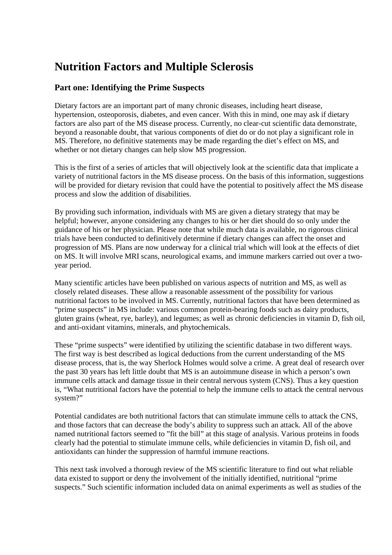## **Nutrition Factors and Multiple Sclerosis**

## **Part one: Identifying the Prime Suspects**

Dietary factors are an important part of many chronic diseases, including heart disease, hypertension, osteoporosis, diabetes, and even cancer. With this in mind, one may ask if dietary factors are also part of the MS disease process. Currently, no clear-cut scientific data demonstrate, beyond a reasonable doubt, that various components of diet do or do not play a significant role in MS. Therefore, no definitive statements may be made regarding the diet's effect on MS, and whether or not dietary changes can help slow MS progression.

This is the first of a series of articles that will objectively look at the scientific data that implicate a variety of nutritional factors in the MS disease process. On the basis of this information, suggestions will be provided for dietary revision that could have the potential to positively affect the MS disease process and slow the addition of disabilities.

By providing such information, individuals with MS are given a dietary strategy that may be helpful; however, anyone considering any changes to his or her diet should do so only under the guidance of his or her physician. Please note that while much data is available, no rigorous clinical trials have been conducted to definitively determine if dietary changes can affect the onset and progression of MS. Plans are now underway for a clinical trial which will look at the effects of diet on MS. It will involve MRI scans, neurological exams, and immune markers carried out over a twoyear period.

Many scientific articles have been published on various aspects of nutrition and MS, as well as closely related diseases. These allow a reasonable assessment of the possibility for various nutritional factors to be involved in MS. Currently, nutritional factors that have been determined as "prime suspects" in MS include: various common protein-bearing foods such as dairy products, gluten grains (wheat, rye, barley), and legumes; as well as chronic deficiencies in vitamin D, fish oil, and anti-oxidant vitamins, minerals, and phytochemicals.

These "prime suspects" were identified by utilizing the scientific database in two different ways. The first way is best described as logical deductions from the current understanding of the MS disease process, that is, the way Sherlock Holmes would solve a crime. A great deal of research over the past 30 years has left little doubt that MS is an autoimmune disease in which a person's own immune cells attack and damage tissue in their central nervous system (CNS). Thus a key question is, "What nutritional factors have the potential to help the immune cells to attack the central nervous system?"

Potential candidates are both nutritional factors that can stimulate immune cells to attack the CNS, and those factors that can decrease the body's ability to suppress such an attack. All of the above named nutritional factors seemed to "fit the bill" at this stage of analysis. Various proteins in foods clearly had the potential to stimulate immune cells, while deficiencies in vitamin D, fish oil, and antioxidants can hinder the suppression of harmful immune reactions.

This next task involved a thorough review of the MS scientific literature to find out what reliable data existed to support or deny the involvement of the initially identified, nutritional "prime suspects." Such scientific information included data on animal experiments as well as studies of the